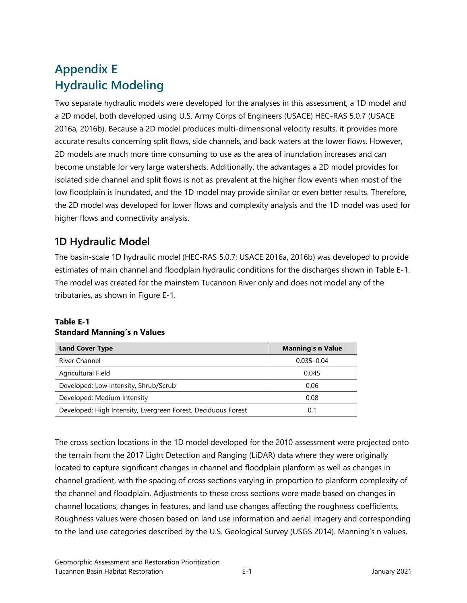# **Appendix E Hydraulic Modeling**

Two separate hydraulic models were developed for the analyses in this assessment, a 1D model and a 2D model, both developed using U.S. Army Corps of Engineers (USACE) HEC-RAS 5.0.7 (USACE 2016a, 2016b). Because a 2D model produces multi-dimensional velocity results, it provides more accurate results concerning split flows, side channels, and back waters at the lower flows. However, 2D models are much more time consuming to use as the area of inundation increases and can become unstable for very large watersheds. Additionally, the advantages a 2D model provides for isolated side channel and split flows is not as prevalent at the higher flow events when most of the low floodplain is inundated, and the 1D model may provide similar or even better results. Therefore, the 2D model was developed for lower flows and complexity analysis and the 1D model was used for higher flows and connectivity analysis.

## **1D Hydraulic Model**

The basin-scale 1D hydraulic model (HEC-RAS 5.0.7; USACE 2016a, 2016b) was developed to provide estimates of main channel and floodplain hydraulic conditions for the discharges shown in Table E-1. The model was created for the mainstem Tucannon River only and does not model any of the tributaries, as shown in Figure E-1.

#### **Table E-1 Standard Manning's n Values**

| <b>Land Cover Type</b>                                        | <b>Manning's n Value</b> |
|---------------------------------------------------------------|--------------------------|
| <b>River Channel</b>                                          | $0.035 - 0.04$           |
| Agricultural Field                                            | 0.045                    |
| Developed: Low Intensity, Shrub/Scrub                         | 0.06                     |
| Developed: Medium Intensity                                   | 0.08                     |
| Developed: High Intensity, Evergreen Forest, Deciduous Forest | ი 1                      |

The cross section locations in the 1D model developed for the 2010 assessment were projected onto the terrain from the 2017 Light Detection and Ranging (LiDAR) data where they were originally located to capture significant changes in channel and floodplain planform as well as changes in channel gradient, with the spacing of cross sections varying in proportion to planform complexity of the channel and floodplain. Adjustments to these cross sections were made based on changes in channel locations, changes in features, and land use changes affecting the roughness coefficients. Roughness values were chosen based on land use information and aerial imagery and corresponding to the land use categories described by the U.S. Geological Survey (USGS 2014). Manning's n values,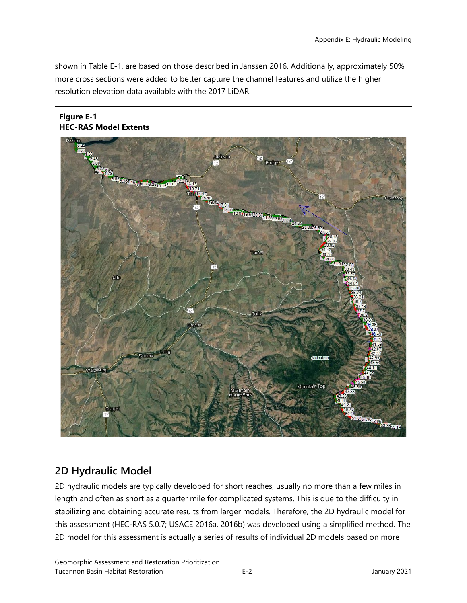shown in Table E-1, are based on those described in Janssen 2016. Additionally, approximately 50% more cross sections were added to better capture the channel features and utilize the higher resolution elevation data available with the 2017 LiDAR.



### **2D Hydraulic Model**

2D hydraulic models are typically developed for short reaches, usually no more than a few miles in length and often as short as a quarter mile for complicated systems. This is due to the difficulty in stabilizing and obtaining accurate results from larger models. Therefore, the 2D hydraulic model for this assessment (HEC-RAS 5.0.7; USACE 2016a, 2016b) was developed using a simplified method. The 2D model for this assessment is actually a series of results of individual 2D models based on more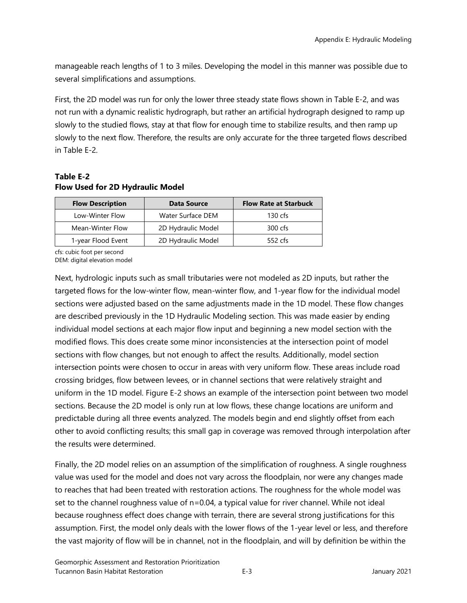manageable reach lengths of 1 to 3 miles. Developing the model in this manner was possible due to several simplifications and assumptions.

First, the 2D model was run for only the lower three steady state flows shown in Table E-2, and was not run with a dynamic realistic hydrograph, but rather an artificial hydrograph designed to ramp up slowly to the studied flows, stay at that flow for enough time to stabilize results, and then ramp up slowly to the next flow. Therefore, the results are only accurate for the three targeted flows described in Table E-2.

#### **Table E-2 Flow Used for 2D Hydraulic Model**

|  | <b>Flow Description</b> | <b>Data Source</b> | <b>Flow Rate at Starbuck</b> |
|--|-------------------------|--------------------|------------------------------|
|  | Low-Winter Flow         | Water Surface DEM  | 130 $\mathsf{cfs}$           |
|  | Mean-Winter Flow        | 2D Hydraulic Model | 300 cfs                      |
|  | 1-year Flood Event      | 2D Hydraulic Model | 552 cfs                      |

cfs: cubic foot per second

DEM: digital elevation model

Next, hydrologic inputs such as small tributaries were not modeled as 2D inputs, but rather the targeted flows for the low-winter flow, mean-winter flow, and 1-year flow for the individual model sections were adjusted based on the same adjustments made in the 1D model. These flow changes are described previously in the 1D Hydraulic Modeling section. This was made easier by ending individual model sections at each major flow input and beginning a new model section with the modified flows. This does create some minor inconsistencies at the intersection point of model sections with flow changes, but not enough to affect the results. Additionally, model section intersection points were chosen to occur in areas with very uniform flow. These areas include road crossing bridges, flow between levees, or in channel sections that were relatively straight and uniform in the 1D model. Figure E-2 shows an example of the intersection point between two model sections. Because the 2D model is only run at low flows, these change locations are uniform and predictable during all three events analyzed. The models begin and end slightly offset from each other to avoid conflicting results; this small gap in coverage was removed through interpolation after the results were determined.

Finally, the 2D model relies on an assumption of the simplification of roughness. A single roughness value was used for the model and does not vary across the floodplain, nor were any changes made to reaches that had been treated with restoration actions. The roughness for the whole model was set to the channel roughness value of n=0.04, a typical value for river channel. While not ideal because roughness effect does change with terrain, there are several strong justifications for this assumption. First, the model only deals with the lower flows of the 1-year level or less, and therefore the vast majority of flow will be in channel, not in the floodplain, and will by definition be within the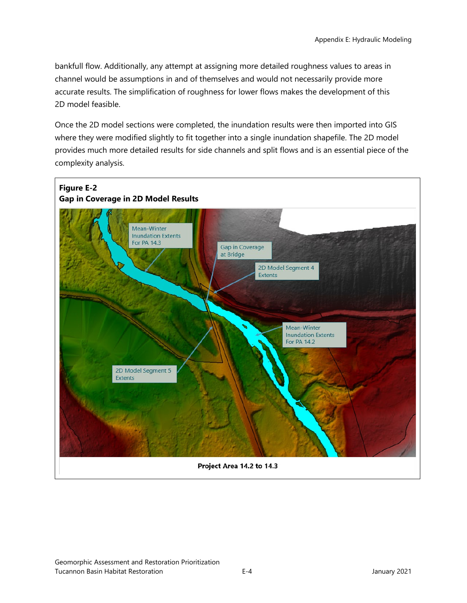bankfull flow. Additionally, any attempt at assigning more detailed roughness values to areas in channel would be assumptions in and of themselves and would not necessarily provide more accurate results. The simplification of roughness for lower flows makes the development of this 2D model feasible.

Once the 2D model sections were completed, the inundation results were then imported into GIS where they were modified slightly to fit together into a single inundation shapefile. The 2D model provides much more detailed results for side channels and split flows and is an essential piece of the complexity analysis.